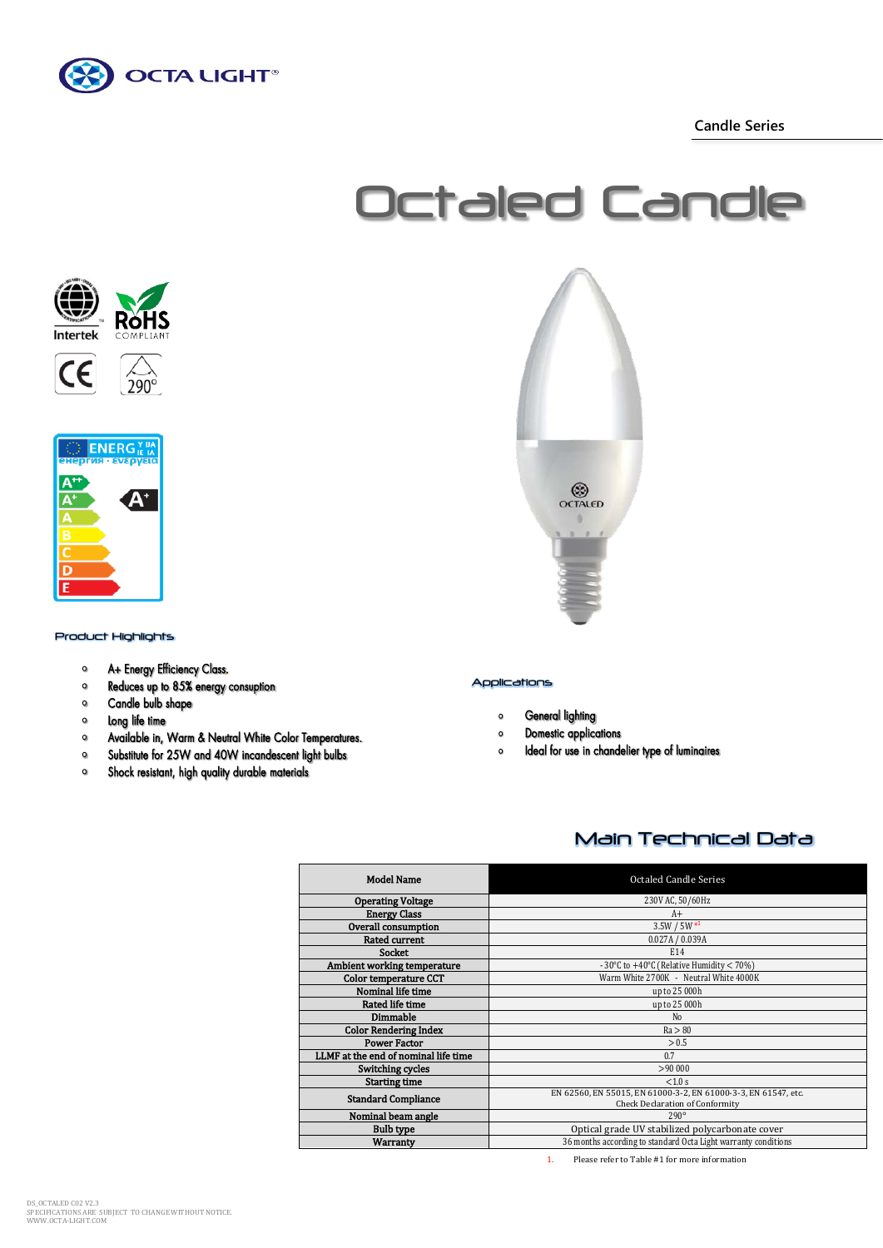

 **Candle Series**









#### Product Highlights

- A+ Energy Efficiency Class.  $\circ$
- Reduces up to 85% energy consuption  $\bullet$
- $\bullet$ Candle bulb shape
- $\bullet$ Long life time
- $\circ$ Available in, Warm & Neutral White Color Temperatures.
- Substitute for 25W and 40W incandescent light bulbs  $\bullet$
- $\circ$ Shock resistant, high quality durable materials



### Applications

- **General lighting**  $\mathbf{o}$
- **Domestic applications**  $\circ$
- Ideal for use in chandelier type of luminaires  $\circ$

# Main Technical Data

| <b>Model Name</b>                    | <b>Octaled Candle Series</b>                                                                             |
|--------------------------------------|----------------------------------------------------------------------------------------------------------|
| <b>Operating Voltage</b>             | 230V AC, 50/60Hz                                                                                         |
| <b>Energy Class</b>                  | $A+$                                                                                                     |
| Overall consumption                  | $3.5W / 5W *1$                                                                                           |
| <b>Rated current</b>                 | 0.027A / 0.039A                                                                                          |
| <b>Socket</b>                        | E14                                                                                                      |
| Ambient working temperature          | - 30°C to +40°C (Relative Humidity $<$ 70%)                                                              |
| <b>Color temperature CCT</b>         | Warm White 2700K - Neutral White 4000K                                                                   |
| Nominal life time                    | up to 25 000h                                                                                            |
| Rated life time                      | up to 25 000h                                                                                            |
| Dimmable                             | N <sub>0</sub>                                                                                           |
| <b>Color Rendering Index</b>         | Ra > 80                                                                                                  |
| <b>Power Factor</b>                  | > 0.5                                                                                                    |
| LLMF at the end of nominal life time | 0.7                                                                                                      |
| Switching cycles                     | >90000                                                                                                   |
| <b>Starting time</b>                 | < 1.0 s                                                                                                  |
| <b>Standard Compliance</b>           | EN 62560, EN 55015, EN 61000-3-2, EN 61000-3-3, EN 61547, etc.<br><b>Check Declaration of Conformity</b> |
| Nominal beam angle                   | $290^\circ$                                                                                              |
| <b>Bulb type</b>                     | Optical grade UV stabilized polycarbonate cover                                                          |
| <b>Warranty</b>                      | 36 months according to standard Octa Light warranty conditions                                           |
|                                      |                                                                                                          |

1. Please refer to Table #1 for more information